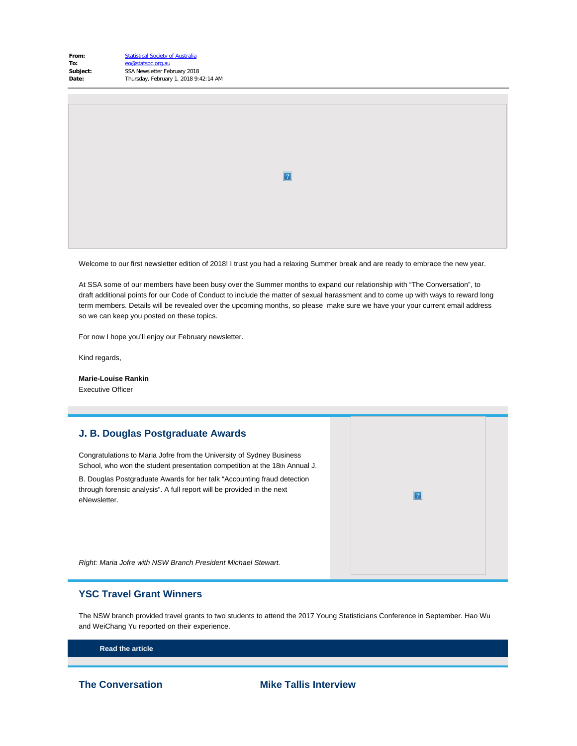| From:    | <b>Statistical Society of Australia</b> |
|----------|-----------------------------------------|
| To:      | eo@statsoc.org.au                       |
| Subject: | SSA Newsletter February 2018            |
| Date:    | Thursday, February 1, 2018 9:42:14 AM   |
|          |                                         |

 $\mathbf{2}$ 

Welcome to our first newsletter edition of 2018! I trust you had a relaxing Summer break and are ready to embrace the new year.

At SSA some of our members have been busy over the Summer months to expand our relationship with "The Conversation", to draft additional points for our Code of Conduct to include the matter of sexual harassment and to come up with ways to reward long term members. Details will be revealed over the upcoming months, so please make sure we have your your current email address so we can keep you posted on these topics.

For now I hope you'll enjoy our February newsletter.

Kind regards,

**Marie-Louise Rankin** Executive Officer

# **J. B. Douglas Postgraduate Awards** Congratulations to Maria Jofre from the University of Sydney Business School, who won the student presentation competition at the 18th Annual J. B. Douglas Postgraduate Awards for her talk "Accounting fraud detection through forensic analysis". A full report will be provided in the next  $|2|$ eNewsletter. *Right: Maria Jofre with NSW Branch President Michael Stewart.*

# **YSC Travel Grant Winners**

The NSW branch provided travel grants to two students to attend the 2017 Young Statisticians Conference in September. Hao Wu and WeiChang Yu reported on their experience.

**[Read the article](https://www.vision6.com.au/ch/43209/1fvqv/2486562/55fc5qd6n-1.html)**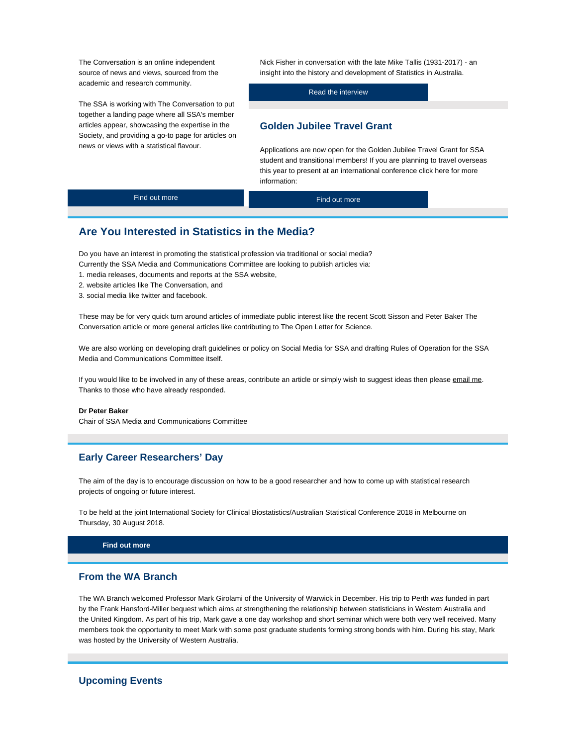The Conversation is an online independent source of news and views, sourced from the academic and research community.

The SSA is working with The Conversation to put together a landing page where all SSA's member articles appear, showcasing the expertise in the Society, and providing a go-to page for articles on news or views with a statistical flavour.

Nick Fisher in conversation with the late Mike Tallis (1931-2017) - an insight into the history and development of Statistics in Australia.

[Read the interview](https://www.vision6.com.au/ch/43209/1fvqv/2486564/55fc59sqr-1.html)

# **Golden Jubilee Travel Grant**

Applications are now open for the Golden Jubilee Travel Grant for SSA student and transitional members! If you are planning to travel overseas this year to present at an international conference click here for more information:

[Find out more](https://www.vision6.com.au/ch/43209/1fvqv/2486563/55fc580np-1.html)

[Find out more](https://www.vision6.com.au/ch/43209/1fvqv/1755154/55fc5xsmh-1.html)

# **Are You Interested in Statistics in the Media?**

Do you have an interest in promoting the statistical profession via traditional or social media? Currently the SSA Media and Communications Committee are looking to publish articles via:

- 1. media releases, documents and reports at the SSA [website,](https://www.vision6.com.au/ch/43209/1fvqv/2460638/55fc56tnh.html)
- 2. website articles like [The Conversation,](https://www.vision6.com.au/ch/43209/1fvqv/2460639/55fc5m0ht.html) and

3. social media like twitter and facebook.

These may be for very quick turn around articles of immediate public interest like the recent [Scott Sisson and Peter Baker](https://www.vision6.com.au/ch/43209/1fvqv/2460640/55fc512zb9.html) The Conversation article or more general articles like contributing to [The Open Letter for Science](https://www.vision6.com.au/ch/43209/1fvqv/2460641/55fc51810s.html).

We are also working on developing draft guidelines or policy on Social Media for SSA and drafting Rules of Operation for the SSA Media and Communications Committee itself.

If you would like to be involved in any of these areas, contribute an article or simply wish to suggest ideas then please [email me](mailto:p.baker1@uq.edu.au). Thanks to those who have already responded.

#### **Dr Peter Baker**

Chair of SSA Media and Communications Committee

# **Early Career Researchers' Day**

The aim of the day is to encourage discussion on how to be a good researcher and how to come up with statistical research projects of ongoing or future interest.

To be held at the joint International Society for Clinical Biostatistics/Australian Statistical Conference 2018 in Melbourne on Thursday, 30 August 2018.

#### **[Find out more](https://www.vision6.com.au/ch/43209/1fvqv/2486666/55fc512rcg-1.html)**

### **From the WA Branch**

The WA Branch welcomed Professor Mark Girolami of the University of Warwick in December. His trip to Perth was funded in part by the Frank Hansford-Miller bequest which aims at strengthening the relationship between statisticians in Western Australia and the United Kingdom. As part of his trip, Mark gave a one day workshop and short seminar which were both very well received. Many members took the opportunity to meet Mark with some post graduate students forming strong bonds with him. During his stay, Mark was hosted by the University of Western Australia.

# **Upcoming Events**